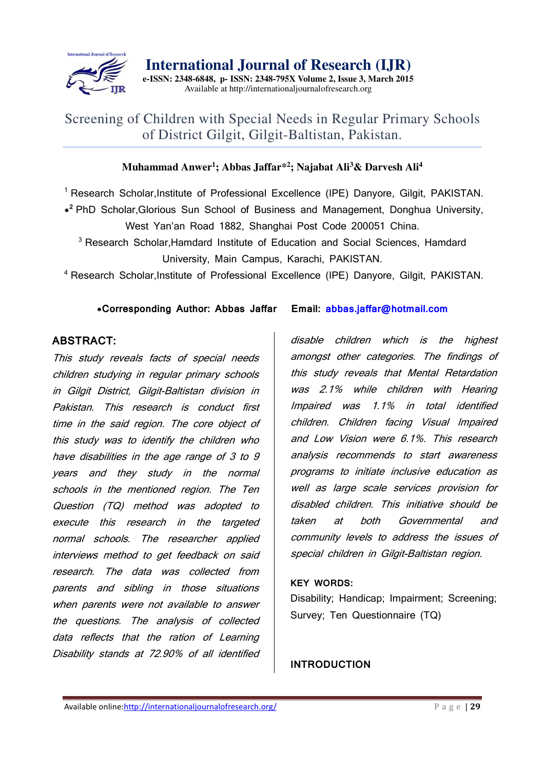

**International Journal of Research (IJR) e-ISSN: 2348-6848, p- ISSN: 2348-795X Volume 2, Issue 3, March 2015** 

Available at http://internationaljournalofresearch.org

## Screening of Children with Special Needs in Regular Primary Schools of District Gilgit, Gilgit-Baltistan, Pakistan.

## **Muhammad Anwer<sup>1</sup> ; Abbas Jaffar\*<sup>2</sup> ; Najabat Ali<sup>3</sup>& Darvesh Ali<sup>4</sup>**

<sup>1</sup> Research Scholar, Institute of Professional Excellence (IPE) Danyore, Gilgit, PAKISTAN.

**\* <sup>2</sup>**PhD Scholar,Glorious Sun School of Business and Management, Donghua University, West Yan'an Road 1882, Shanghai Post Code 200051 China.

<sup>3</sup> Research Scholar, Hamdard Institute of Education and Social Sciences, Hamdard University, Main Campus, Karachi, PAKISTAN.

<sup>4</sup> Research Scholar, Institute of Professional Excellence (IPE) Danyore, Gilgit, PAKISTAN.

## **\*Corresponding Author: Abbas Jaffar Email: abbas.jaffar@hotmail.com**

## **ABSTRACT:**

This study reveals facts of special needs children studying in regular primary schools in Gilgit District, Gilgit-Baltistan division in Pakistan. This research is conduct first time in the said region. The core object of this study was to identify the children who have disabilities in the age range of 3 to 9 years and they study in the normal schools in the mentioned region. The Ten Question (TQ) method was adopted to execute this research in the targeted normal schools. The researcher applied interviews method to get feedback on said research. The data was collected from parents and sibling in those situations when parents were not available to answer the questions. The analysis of collected data reflects that the ration of Learning Disability stands at 72.90% of all identified

disable children which is the highest amongst other categories. The findings of this study reveals that Mental Retardation was 2.1% while children with Hearing Impaired was 1.1% in total identified children. Children facing Visual Impaired and Low Vision were 6.1%. This research analysis recommends to start awareness programs to initiate inclusive education as well as large scale services provision for disabled children. This initiative should be taken at both Governmental and community levels to address the issues of special children in Gilgit-Baltistan region.

## **KEY WORDS:**

Disability; Handicap; Impairment; Screening; Survey; Ten Questionnaire (TQ)

**INTRODUCTION**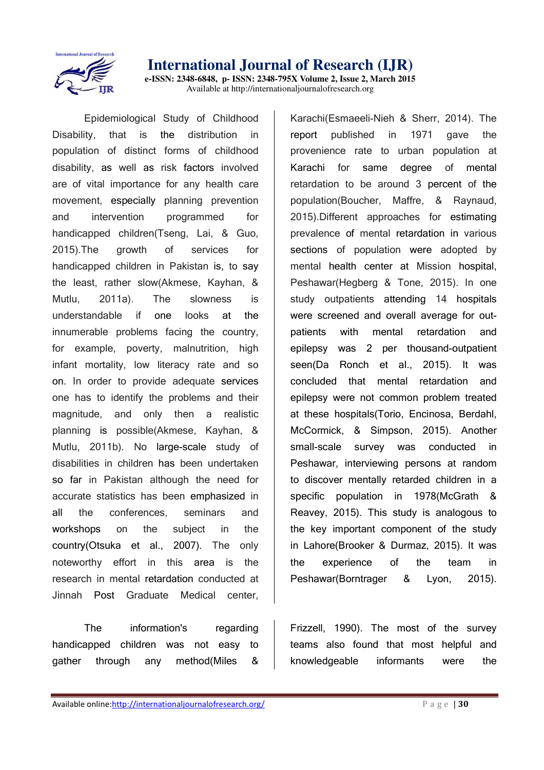

**e-ISSN: 2348-6848, p- ISSN: 2348-795X Volume 2, Issue 2, March 2015**  Available at http://internationaljournalofresearch.org

Epidemiological Study of Childhood Disability, that is the distribution in population of distinct forms of childhood disability, as well as risk factors involved are of vital importance for any health care movement, especially planning prevention and intervention programmed for handicapped children(Tseng, Lai, & Guo, 2015).The growth of services for handicapped children in Pakistan is, to say the least, rather slow(Akmese, Kayhan, & Mutlu, 2011a). The slowness is understandable if one looks at the innumerable problems facing the country, for example, poverty, malnutrition, high infant mortality, low literacy rate and so on. In order to provide adequate services one has to identify the problems and their magnitude, and only then a realistic planning is possible(Akmese, Kayhan, & Mutlu, 2011b). No large-scale study of disabilities in children has been undertaken so far in Pakistan although the need for accurate statistics has been emphasized in all the conferences, seminars and workshops on the subject in the country(Otsuka et al., 2007). The only noteworthy effort in this area is the research in mental retardation conducted at Jinnah Post Graduate Medical center,

The information's regarding handicapped children was not easy to gather through any method(Miles &

Karachi(Esmaeeli-Nieh & Sherr, 2014). The report published in 1971 gave the provenience rate to urban population at Karachi for same degree of mental retardation to be around 3 percent of the population(Boucher, Maffre, & Raynaud, 2015).Different approaches for estimating prevalence of mental retardation in various sections of population were adopted by mental health center at Mission hospital, Peshawar(Hegberg & Tone, 2015). In one study outpatients attending 14 hospitals were screened and overall average for outpatients with mental retardation and epilepsy was 2 per thousand-outpatient seen(Da Ronch et al., 2015). It was concluded that mental retardation and epilepsy were not common problem treated at these hospitals(Torio, Encinosa, Berdahl, McCormick, & Simpson, 2015). Another small-scale survey was conducted Peshawar, interviewing persons at random to discover mentally retarded children in a specific population in 1978(McGrath & Reavey, 2015). This study is analogous to the key important component of the study in Lahore(Brooker & Durmaz, 2015). It was the experience of the team in Peshawar(Borntrager & Lyon, 2015).

Frizzell, 1990). The most of the survey teams also found that most helpful and knowledgeable informants were the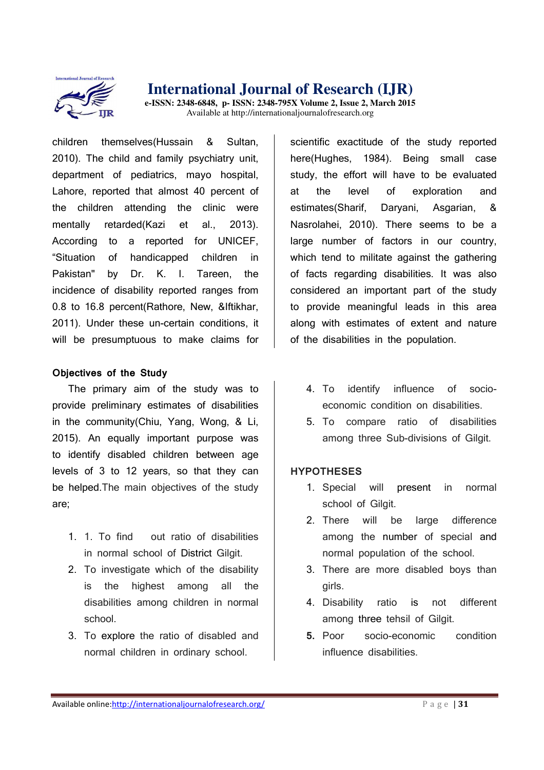

**e-ISSN: 2348-6848, p- ISSN: 2348-795X Volume 2, Issue 2, March 2015**  Available at http://internationaljournalofresearch.org

children themselves(Hussain & Sultan, 2010). The child and family psychiatry unit, department of pediatrics, mayo hospital, Lahore, reported that almost 40 percent of the children attending the clinic were mentally retarded(Kazi et al., 2013). According to a reported for UNICEF, "Situation of handicapped children in Pakistan" by Dr. K. I. Tareen, the incidence of disability reported ranges from 0.8 to 16.8 percent(Rathore, New, &Iftikhar, 2011). Under these un-certain conditions, it will be presumptuous to make claims for

#### **Objectives of the Study**

The primary aim of the study was to provide preliminary estimates of disabilities in the community(Chiu, Yang, Wong, & Li, 2015). An equally important purpose was to identify disabled children between age levels of 3 to 12 years, so that they can be helped.The main objectives of the study are;

- 1. 1. To find out ratio of disabilities in normal school of District Gilgit.
- 2. To investigate which of the disability is the highest among all the disabilities among children in normal school.
- 3. To explore the ratio of disabled and normal children in ordinary school.

scientific exactitude of the study reported here(Hughes, 1984). Being small case study, the effort will have to be evaluated at the level of exploration and estimates(Sharif, Daryani, Asgarian, & Nasrolahei, 2010). There seems to be a large number of factors in our country, which tend to militate against the gathering of facts regarding disabilities. It was also considered an important part of the study to provide meaningful leads in this area along with estimates of extent and nature of the disabilities in the population.

- 4. To identify influence of socioeconomic condition on disabilities.
- 5. To compare ratio of disabilities among three Sub-divisions of Gilgit.

### **HYPOTHESES**

- 1. Special will present in normal school of Gilgit.
- 2. There will be large difference among the number of special and normal population of the school.
- 3. There are more disabled boys than girls.
- 4. Disability ratio is not different among three tehsil of Gilgit.
- **5.** Poor socio-economic condition influence disabilities.

Available online:http://internationaljournalofresearch.org/<br>
P a g e | 31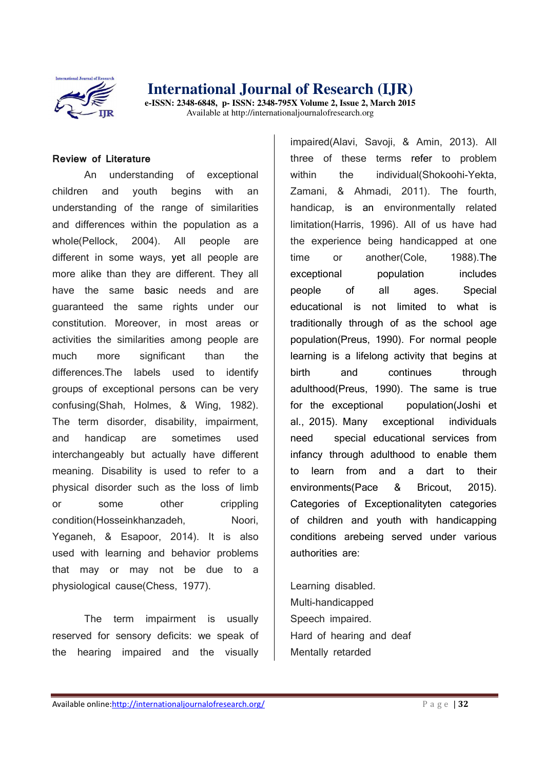

**e-ISSN: 2348-6848, p- ISSN: 2348-795X Volume 2, Issue 2, March 2015**  Available at http://internationaljournalofresearch.org

#### **Review of Literature**

An understanding of exceptional children and youth begins with an understanding of the range of similarities and differences within the population as a whole(Pellock, 2004). All people are different in some ways, yet all people are more alike than they are different. They all have the same basic needs and are guaranteed the same rights under our constitution. Moreover, in most areas or activities the similarities among people are much more significant than the differences.The labels used to identify groups of exceptional persons can be very confusing(Shah, Holmes, & Wing, 1982). The term disorder, disability, impairment, and handicap are sometimes used interchangeably but actually have different meaning. Disability is used to refer to a physical disorder such as the loss of limb or some other crippling condition(Hosseinkhanzadeh, Noori, Yeganeh, & Esapoor, 2014). It is also used with learning and behavior problems that may or may not be due to a physiological cause(Chess, 1977).

The term impairment is usually reserved for sensory deficits: we speak of the hearing impaired and the visually

impaired(Alavi, Savoji, & Amin, 2013). All three of these terms refer to problem within the individual(Shokoohi-Yekta, Zamani, & Ahmadi, 2011). The fourth, handicap, is an environmentally related limitation(Harris, 1996). All of us have had the experience being handicapped at one time or another(Cole, 1988).The exceptional population includes people of all ages. Special educational is not limited to what is traditionally through of as the school age population(Preus, 1990). For normal people learning is a lifelong activity that begins at birth and continues through adulthood(Preus, 1990). The same is true for the exceptional population(Joshi et al., 2015). Many exceptional individuals need special educational services from infancy through adulthood to enable them to learn from and a dart to their environments(Pace & Bricout, 2015). Categories of Exceptionalityten categories of children and youth with handicapping conditions arebeing served under various authorities are:

Learning disabled. Multi-handicapped Speech impaired. Hard of hearing and deaf Mentally retarded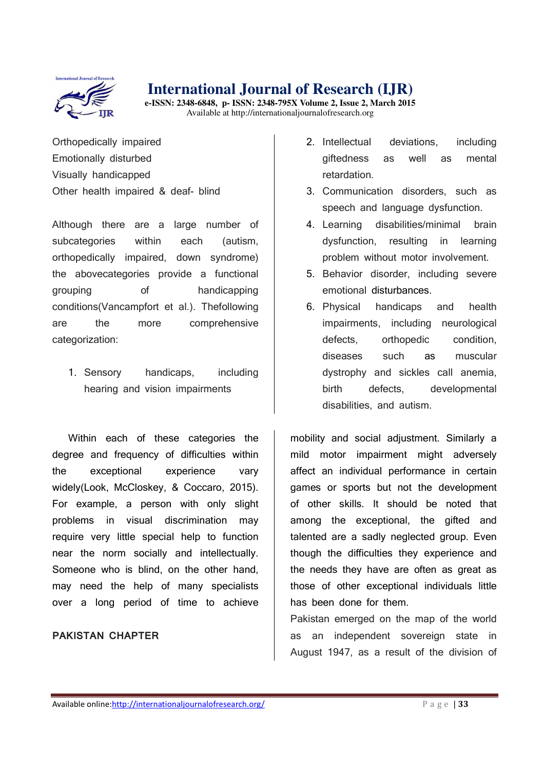

**e-ISSN: 2348-6848, p- ISSN: 2348-795X Volume 2, Issue 2, March 2015**  Available at http://internationaljournalofresearch.org

Orthopedically impaired Emotionally disturbed Visually handicapped Other health impaired & deaf- blind

Although there are a large number of subcategories within each (autism, orthopedically impaired, down syndrome) the abovecategories provide a functional grouping of handicapping conditions(Vancampfort et al.). Thefollowing are the more comprehensive categorization:

1. Sensory handicaps, including hearing and vision impairments

Within each of these categories the degree and frequency of difficulties within the exceptional experience vary widely(Look, McCloskey, & Coccaro, 2015). For example, a person with only slight problems in visual discrimination may require very little special help to function near the norm socially and intellectually. Someone who is blind, on the other hand, may need the help of many specialists over a long period of time to achieve

#### **PAKISTAN CHAPTER**

- 2. Intellectual deviations, including giftedness as well as mental retardation.
- 3. Communication disorders, such as speech and language dysfunction.
- 4. Learning disabilities/minimal brain dysfunction, resulting in learning problem without motor involvement.
- 5. Behavior disorder, including severe emotional disturbances.
- 6. Physical handicaps and health impairments, including neurological defects, orthopedic condition, diseases such as muscular dystrophy and sickles call anemia, birth defects, developmental disabilities, and autism.

mobility and social adjustment. Similarly a mild motor impairment might adversely affect an individual performance in certain games or sports but not the development of other skills. It should be noted that among the exceptional, the gifted and talented are a sadly neglected group. Even though the difficulties they experience and the needs they have are often as great as those of other exceptional individuals little has been done for them.

Pakistan emerged on the map of the world as an independent sovereign state in August 1947, as a result of the division of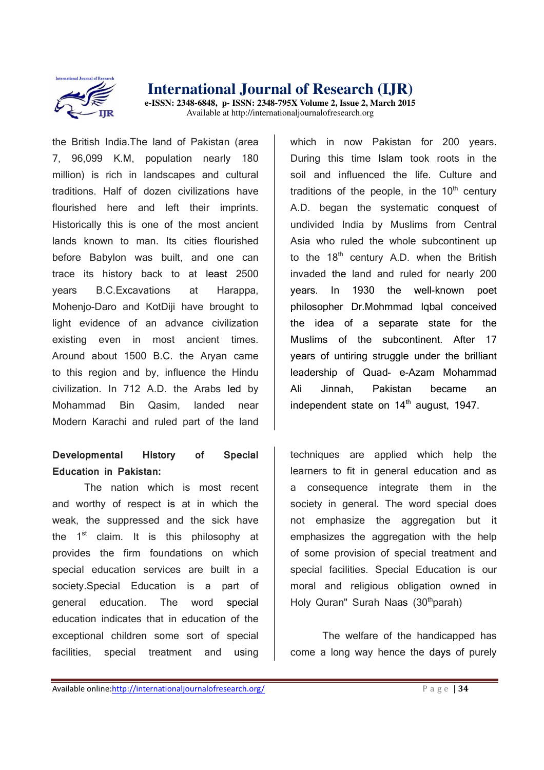

the British India.The land of Pakistan (area 7, 96,099 K.M, population nearly 180 million) is rich in landscapes and cultural traditions. Half of dozen civilizations have flourished here and left their imprints. Historically this is one of the most ancient lands known to man. Its cities flourished before Babylon was built, and one can trace its history back to at least 2500 years B.C.Excavations at Harappa, Mohenio-Daro and KotDiii have brought to light evidence of an advance civilization existing even in most ancient times. Around about 1500 B.C. the Aryan came to this region and by, influence the Hindu civilization. In 712 A.D. the Arabs led by Mohammad Bin Qasim, landed near Modern Karachi and ruled part of the land

## **Developmental History of Special Education in Pakistan:**

The nation which is most recent and worthy of respect is at in which the weak, the suppressed and the sick have the  $1<sup>st</sup>$  claim. It is this philosophy at provides the firm foundations on which special education services are built in a society.Special Education is a part of general education. The word special education indicates that in education of the exceptional children some sort of special facilities, special treatment and using

which in now Pakistan for 200 years. During this time Islam took roots in the soil and influenced the life. Culture and traditions of the people, in the  $10<sup>th</sup>$  century A.D. began the systematic conquest of undivided India by Muslims from Central Asia who ruled the whole subcontinent up to the  $18<sup>th</sup>$  century A.D. when the British invaded the land and ruled for nearly 200 years. In 1930 the well-known poet philosopher Dr.Mohmmad Iqbal conceived the idea of a separate state for the Muslims of the subcontinent. After 17 years of untiring struggle under the brilliant leadership of Quad- e-Azam Mohammad Ali Jinnah, Pakistan became an independent state on  $14<sup>th</sup>$  august, 1947.

techniques are applied which help the learners to fit in general education and as a consequence integrate them in the society in general. The word special does not emphasize the aggregation but it emphasizes the aggregation with the help of some provision of special treatment and special facilities. Special Education is our moral and religious obligation owned in Holy Quran" Surah Naas  $(30<sup>th</sup>$ parah)

The welfare of the handicapped has come a long way hence the days of purely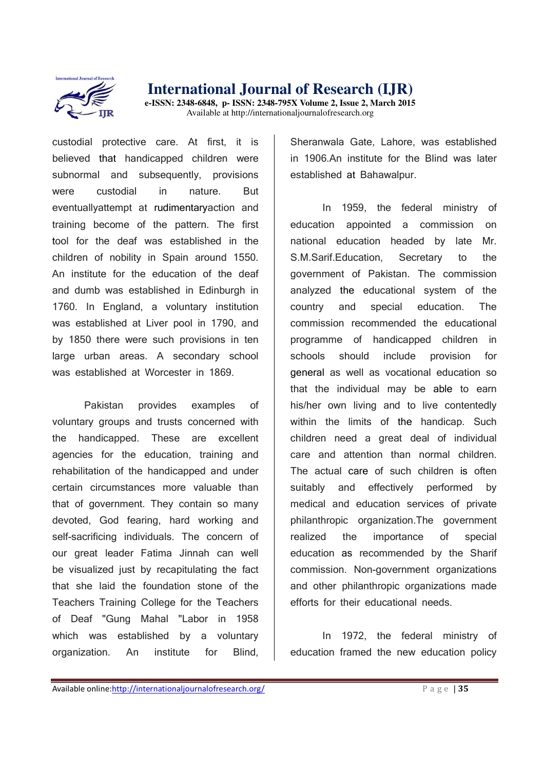

**e-ISSN: 2348-6848, p- ISSN: 2348-795X Volume 2, Issue 2, March 2015**  Available at http://internationaljournalofresearch.org

custodial protective care. At first, it is believed that handicapped children were subnormal and subsequently, provisions were custodial in nature. But eventuallyattempt at rudimentaryaction and training become of the pattern. The first tool for the deaf was established in the children of nobility in Spain around 1550. An institute for the education of the deaf and dumb was established in Edinburgh in 1760. In England, a voluntary institution was established at Liver pool in 1790, and by 1850 there were such provisions in ten large urban areas. A secondary school was established at Worcester in 1869.

Pakistan provides examples of voluntary groups and trusts concerned with the handicapped. These are excellent agencies for the education, training and rehabilitation of the handicapped and under certain circumstances more valuable than that of government. They contain so many devoted, God fearing, hard working and self-sacrificing individuals. The concern of our great leader Fatima Jinnah can well be visualized just by recapitulating the fact that she laid the foundation stone of the Teachers Training College for the Teachers of Deaf "Gung Mahal "Labor in 1958 which was established by a voluntary organization. An institute for Blind,

Sheranwala Gate, Lahore, was established in 1906.An institute for the Blind was later established at Bahawalpur.

In 1959, the federal ministry of education appointed a commission on national education headed by late Mr. S.M.Sarif.Education, Secretary to the government of Pakistan. The commission analyzed the educational system of the country and special education. The commission recommended the educational programme of handicapped children in schools should include provision for general as well as vocational education so that the individual may be able to earn his/her own living and to live contentedly within the limits of the handicap. Such children need a great deal of individual care and attention than normal children. The actual care of such children is often suitably and effectively performed by medical and education services of private philanthropic organization.The government realized the importance of special education as recommended by the Sharif commission. Non-government organizations and other philanthropic organizations made efforts for their educational needs.

In 1972, the federal ministry of education framed the new education policy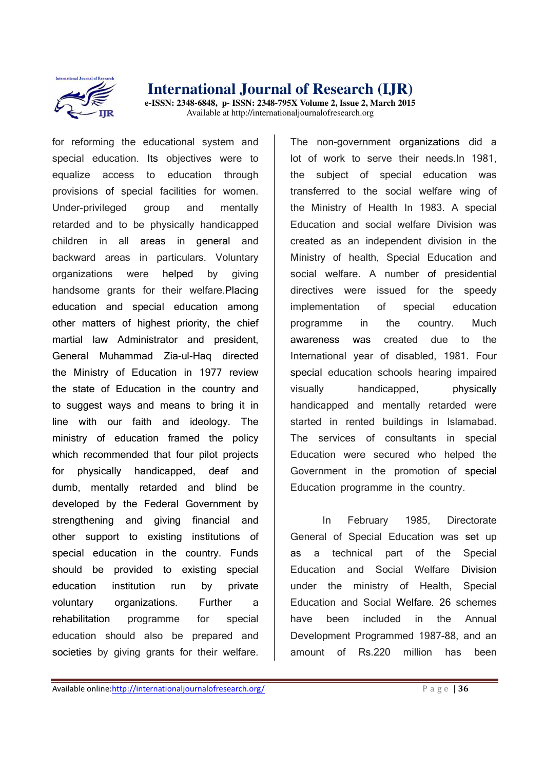

for reforming the educational system and special education. Its objectives were to equalize access to education through provisions of special facilities for women. Under-privileged group and mentally retarded and to be physically handicapped children in all areas in general and backward areas in particulars. Voluntary organizations were helped by giving handsome grants for their welfare.Placing education and special education among other matters of highest priority, the chief martial law Administrator and president, General Muhammad Zia-ul-Haq directed the Ministry of Education in 1977 review the state of Education in the country and to suggest ways and means to bring it in line with our faith and ideology. The ministry of education framed the policy which recommended that four pilot projects for physically handicapped, deaf and dumb, mentally retarded and blind be developed by the Federal Government by strengthening and giving financial and other support to existing institutions of special education in the country. Funds should be provided to existing special education institution run by private voluntary organizations. Further a rehabilitation programme for special education should also be prepared and societies by giving grants for their welfare.

The non-government organizations did a lot of work to serve their needs.In 1981, the subject of special education was transferred to the social welfare wing of the Ministry of Health In 1983. A special Education and social welfare Division was created as an independent division in the Ministry of health, Special Education and social welfare. A number of presidential directives were issued for the speedy implementation of special education programme in the country. Much awareness was created due to the International year of disabled, 1981. Four special education schools hearing impaired visually handicapped, physically handicapped and mentally retarded were started in rented buildings in Islamabad. The services of consultants in special Education were secured who helped the Government in the promotion of special Education programme in the country.

In February 1985, Directorate General of Special Education was set up as a technical part of the Special Education and Social Welfare Division under the ministry of Health, Special Education and Social Welfare. 26 schemes have been included in the Annual Development Programmed 1987-88, and an amount of Rs.220 million has been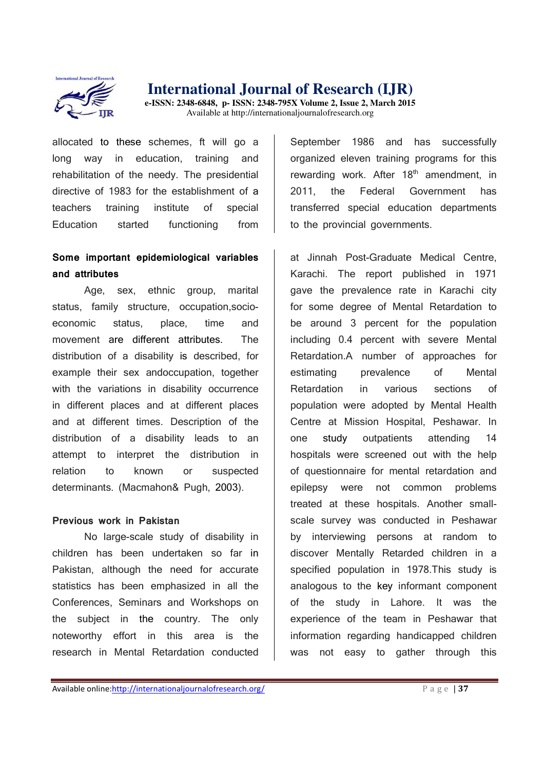

## **International Journal of Research (IJR) e-ISSN: 2348-6848, p- ISSN: 2348-795X Volume 2, Issue 2, March 2015**

Available at http://internationaljournalofresearch.org

allocated to these schemes, ft will go a long way in education, training and rehabilitation of the needy. The presidential directive of 1983 for the establishment of a teachers training institute of special Education started functioning from

## **Some important epidemiological variables and attributes**

Age, sex, ethnic group, marital status, family structure, occupation,socioeconomic status, place, time and movement are different attributes. The distribution of a disability is described, for example their sex andoccupation, together with the variations in disability occurrence in different places and at different places and at different times. Description of the distribution of a disability leads to an attempt to interpret the distribution in relation to known or suspected determinants. (Macmahon& Pugh, 2003).

#### **Previous work in Pakistan**

No large-scale study of disability in children has been undertaken so far in Pakistan, although the need for accurate statistics has been emphasized in all the Conferences, Seminars and Workshops on the subject in the country. The only noteworthy effort in this area is the research in Mental Retardation conducted

September 1986 and has successfully organized eleven training programs for this rewarding work. After  $18<sup>th</sup>$  amendment, in 2011, the Federal Government has transferred special education departments to the provincial governments.

at Jinnah Post-Graduate Medical Centre, Karachi. The report published in 1971 gave the prevalence rate in Karachi city for some degree of Mental Retardation to be around 3 percent for the population including 0.4 percent with severe Mental Retardation.A number of approaches for estimating prevalence of Mental Retardation in various sections of population were adopted by Mental Health Centre at Mission Hospital, Peshawar. In one study outpatients attending 14 hospitals were screened out with the help of questionnaire for mental retardation and epilepsy were not common problems treated at these hospitals. Another smallscale survey was conducted in Peshawar by interviewing persons at random to discover Mentally Retarded children in a specified population in 1978.This study is analogous to the key informant component of the study in Lahore. It was the experience of the team in Peshawar that information regarding handicapped children was not easy to gather through this

Available online:http://internationaljournalofresearch.org/<br>
P a g e | 37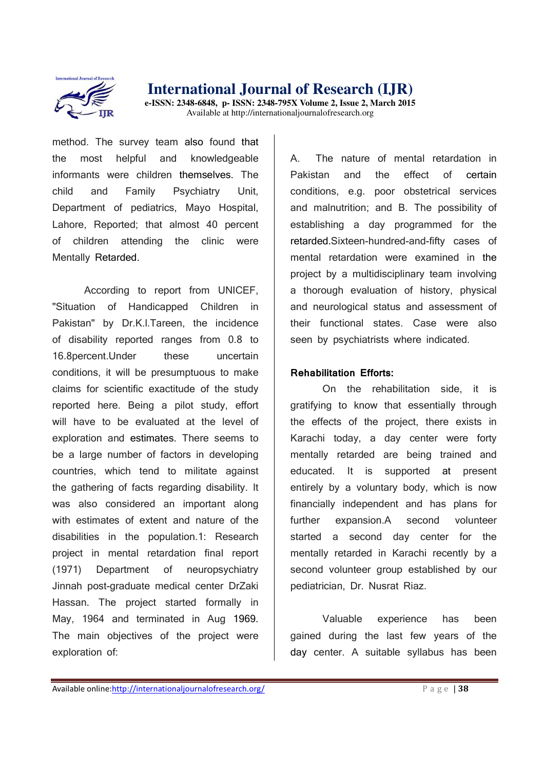

method. The survey team also found that the most helpful and knowledgeable informants were children themselves. The child and Family Psychiatry Unit, Department of pediatrics, Mayo Hospital, Lahore, Reported; that almost 40 percent of children attending the clinic were Mentally Retarded.

According to report from UNICEF, "Situation of Handicapped Children in Pakistan" by Dr.K.l.Tareen, the incidence of disability reported ranges from 0.8 to 16.8 percent. Under these uncertain conditions, it will be presumptuous to make claims for scientific exactitude of the study reported here. Being a pilot study, effort will have to be evaluated at the level of exploration and estimates. There seems to be a large number of factors in developing countries, which tend to militate against the gathering of facts regarding disability. It was also considered an important along with estimates of extent and nature of the disabilities in the population.1: Research project in mental retardation final report (1971) Department of neuropsychiatry Jinnah post-graduate medical center DrZaki Hassan. The project started formally in May, 1964 and terminated in Aug 1969. The main objectives of the project were exploration of:

A. The nature of mental retardation in Pakistan and the effect of certain conditions, e.g. poor obstetrical services and malnutrition; and B. The possibility of establishing a day programmed for the retarded.Sixteen-hundred-and-fifty cases of mental retardation were examined in the project by a multidisciplinary team involving a thorough evaluation of history, physical and neurological status and assessment of their functional states. Case were also seen by psychiatrists where indicated.

#### **Rehabilitation Efforts:**

On the rehabilitation side, it is gratifying to know that essentially through the effects of the project, there exists in Karachi today, a day center were forty mentally retarded are being trained and educated. It is supported at present entirely by a voluntary body, which is now financially independent and has plans for further expansion.A second volunteer started a second day center for the mentally retarded in Karachi recently by a second volunteer group established by our pediatrician, Dr. Nusrat Riaz.

Valuable experience has been gained during the last few years of the day center. A suitable syllabus has been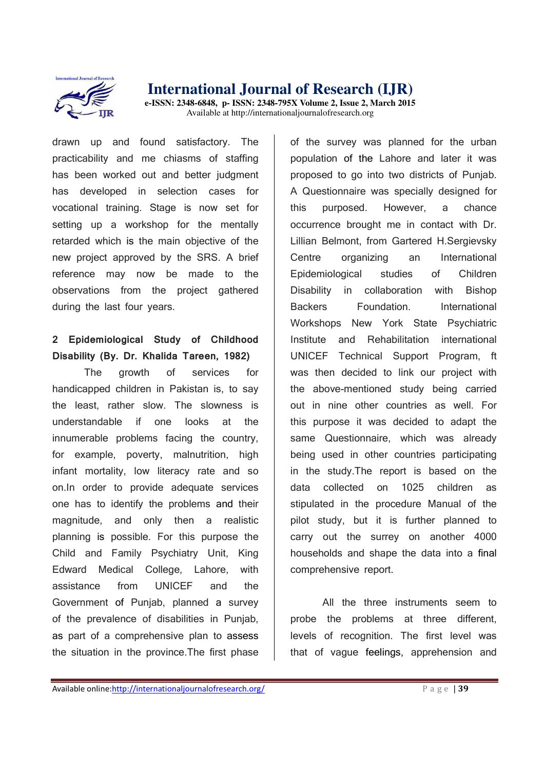

drawn up and found satisfactory. The practicability and me chiasms of staffing has been worked out and better judgment has developed in selection cases for vocational training. Stage is now set for setting up a workshop for the mentally retarded which is the main objective of the new project approved by the SRS. A brief reference may now be made to the observations from the project gathered during the last four years.

## **2 Epidemiological Study of Childhood Disability (By. Dr. Khalida Tareen, 1982)**

The growth of services for handicapped children in Pakistan is, to say the least, rather slow. The slowness is understandable if one looks at the innumerable problems facing the country, for example, poverty, malnutrition, high infant mortality, low literacy rate and so on.In order to provide adequate services one has to identify the problems and their magnitude, and only then a realistic planning is possible. For this purpose the Child and Family Psychiatry Unit, King Edward Medical College, Lahore, with assistance from UNICEF and the Government of Punjab, planned a survey of the prevalence of disabilities in Punjab, as part of a comprehensive plan to assess the situation in the province.The first phase

of the survey was planned for the urban population of the Lahore and later it was proposed to go into two districts of Punjab. A Questionnaire was specially designed for this purposed. However, a chance occurrence brought me in contact with Dr. Lillian Belmont, from Gartered H.Sergievsky Centre organizing an International Epidemiological studies of Children Disability in collaboration with Bishop Backers Foundation. International Workshops New York State Psychiatric Institute and Rehabilitation international UNICEF Technical Support Program, ft was then decided to link our project with the above-mentioned study being carried out in nine other countries as well. For this purpose it was decided to adapt the same Questionnaire, which was already being used in other countries participating in the study.The report is based on the data collected on 1025 children as stipulated in the procedure Manual of the pilot study, but it is further planned to carry out the surrey on another 4000 households and shape the data into a final comprehensive report.

All the three instruments seem to probe the problems at three different, levels of recognition. The first level was that of vague feelings, apprehension and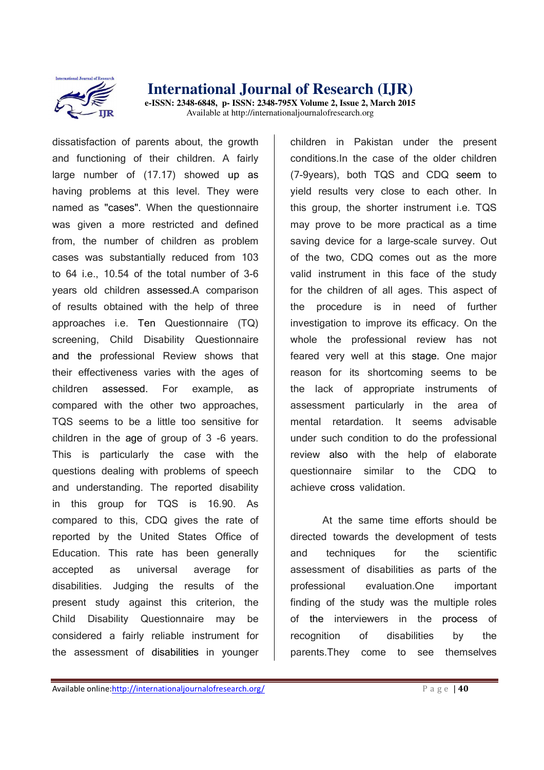

dissatisfaction of parents about, the growth and functioning of their children. A fairly large number of (17.17) showed up as having problems at this level. They were named as "cases". When the questionnaire was given a more restricted and defined from, the number of children as problem cases was substantially reduced from 103 to 64 i.e., 10.54 of the total number of 3-6 years old children assessed.A comparison of results obtained with the help of three approaches i.e. Ten Questionnaire (TQ) screening, Child Disability Questionnaire and the professional Review shows that their effectiveness varies with the ages of children assessed. For example, as compared with the other two approaches, TQS seems to be a little too sensitive for children in the age of group of 3 -6 years. This is particularly the case with the questions dealing with problems of speech and understanding. The reported disability in this group for TQS is 16.90. As compared to this, CDQ gives the rate of reported by the United States Office of Education. This rate has been generally accepted as universal average for disabilities. Judging the results of the present study against this criterion, the Child Disability Questionnaire may be considered a fairly reliable instrument for the assessment of disabilities in younger

children in Pakistan under the present conditions.In the case of the older children (7-9years), both TQS and CDQ seem to yield results very close to each other. In this group, the shorter instrument i.e. TQS may prove to be more practical as a time saving device for a large-scale survey. Out of the two, CDQ comes out as the more valid instrument in this face of the study for the children of all ages. This aspect of the procedure is in need of further investigation to improve its efficacy. On the whole the professional review has not feared very well at this stage. One major reason for its shortcoming seems to be the lack of appropriate instruments of assessment particularly in the area of mental retardation. It seems advisable under such condition to do the professional review also with the help of elaborate questionnaire similar to the CDQ to achieve cross validation.

At the same time efforts should be directed towards the development of tests and techniques for the scientific assessment of disabilities as parts of the professional evaluation.One important finding of the study was the multiple roles of the interviewers in the process of recognition of disabilities by the parents.They come to see themselves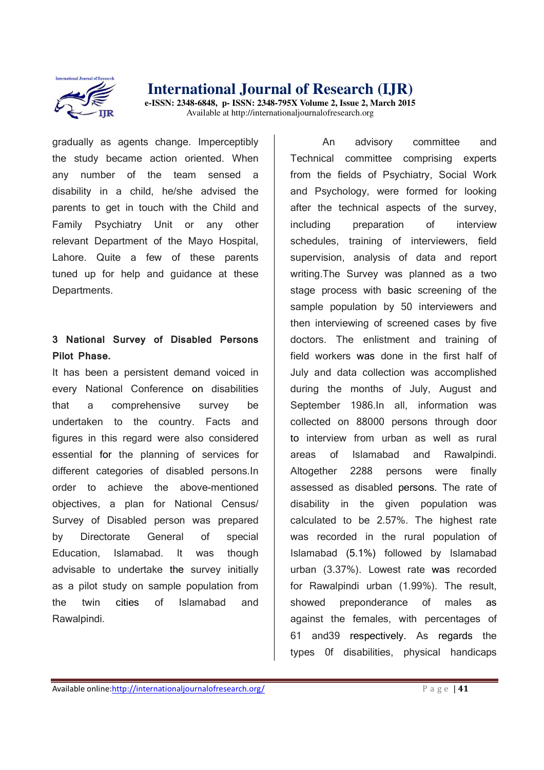

gradually as agents change. Imperceptibly the study became action oriented. When any number of the team sensed a disability in a child, he/she advised the parents to get in touch with the Child and Family Psychiatry Unit or any other relevant Department of the Mayo Hospital, Lahore. Quite a few of these parents tuned up for help and guidance at these Departments.

## **3 National Survey of Disabled Persons Pilot Phase.**

It has been a persistent demand voiced in every National Conference on disabilities that a comprehensive survey be undertaken to the country. Facts and figures in this regard were also considered essential for the planning of services for different categories of disabled persons.In order to achieve the above-mentioned objectives, a plan for National Census/ Survey of Disabled person was prepared by Directorate General of special Education, Islamabad. It was though advisable to undertake the survey initially as a pilot study on sample population from the twin cities of Islamabad and Rawalpindi.

An advisory committee and Technical committee comprising experts from the fields of Psychiatry, Social Work and Psychology, were formed for looking after the technical aspects of the survey, including preparation of interview schedules, training of interviewers, field supervision, analysis of data and report writing.The Survey was planned as a two stage process with basic screening of the sample population by 50 interviewers and then interviewing of screened cases by five doctors. The enlistment and training of field workers was done in the first half of July and data collection was accomplished during the months of July, August and September 1986.In all, information was collected on 88000 persons through door to interview from urban as well as rural areas of Islamabad and Rawalpindi. Altogether 2288 persons were finally assessed as disabled persons. The rate of disability in the given population was calculated to be 2.57%. The highest rate was recorded in the rural population of Islamabad (5.1%) followed by Islamabad urban (3.37%). Lowest rate was recorded for Rawalpindi urban (1.99%). The result, showed preponderance of males as against the females, with percentages of 61 and39 respectively. As regards the types 0f disabilities, physical handicaps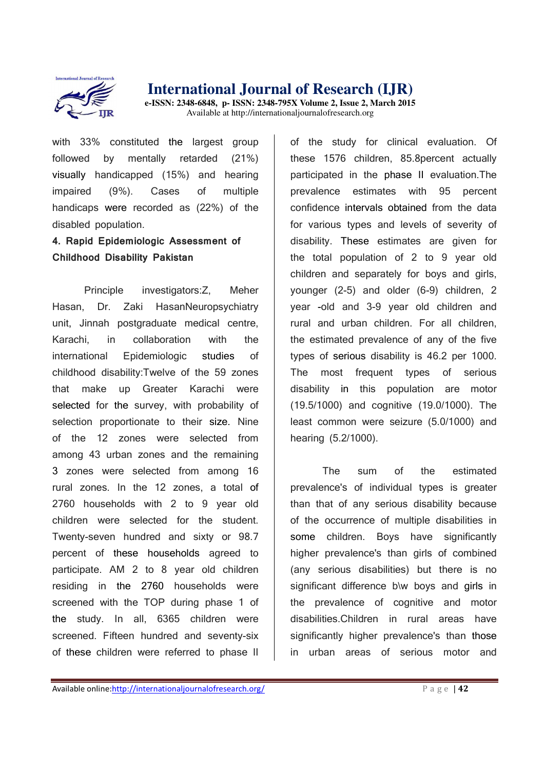

with 33% constituted the largest group followed by mentally retarded (21%) visually handicapped (15%) and hearing impaired (9%). Cases of multiple handicaps were recorded as (22%) of the disabled population.

## **4. Rapid Epidemiologic Assessment of Childhood Disability Pakistan**

Principle investigators:Z, Meher Hasan, Dr. Zaki HasanNeuropsychiatry unit, Jinnah postgraduate medical centre, Karachi, in collaboration with the international Epidemiologic studies of childhood disability:Twelve of the 59 zones that make up Greater Karachi were selected for the survey, with probability of selection proportionate to their size. Nine of the 12 zones were selected from among 43 urban zones and the remaining 3 zones were selected from among 16 rural zones. In the 12 zones, a total of 2760 households with 2 to 9 year old children were selected for the student. Twenty-seven hundred and sixty or 98.7 percent of these households agreed to participate. AM 2 to 8 year old children residing in the 2760 households were screened with the TOP during phase 1 of the study. In all, 6365 children were screened. Fifteen hundred and seventy-six of these children were referred to phase II

of the study for clinical evaluation. Of these 1576 children, 85.8percent actually participated in the phase II evaluation.The prevalence estimates with 95 percent confidence intervals obtained from the data for various types and levels of severity of disability. These estimates are given for the total population of 2 to 9 year old children and separately for boys and girls, younger (2-5) and older (6-9) children, 2 year -old and 3-9 year old children and rural and urban children. For all children, the estimated prevalence of any of the five types of serious disability is 46.2 per 1000. The most frequent types of serious disability in this population are motor (19.5/1000) and cognitive (19.0/1000). The least common were seizure (5.0/1000) and hearing (5.2/1000).

The sum of the estimated prevalence's of individual types is greater than that of any serious disability because of the occurrence of multiple disabilities in some children. Boys have significantly higher prevalence's than girls of combined (any serious disabilities) but there is no significant difference b\w boys and girls in the prevalence of cognitive and motor disabilities.Children in rural areas have significantly higher prevalence's than those in urban areas of serious motor and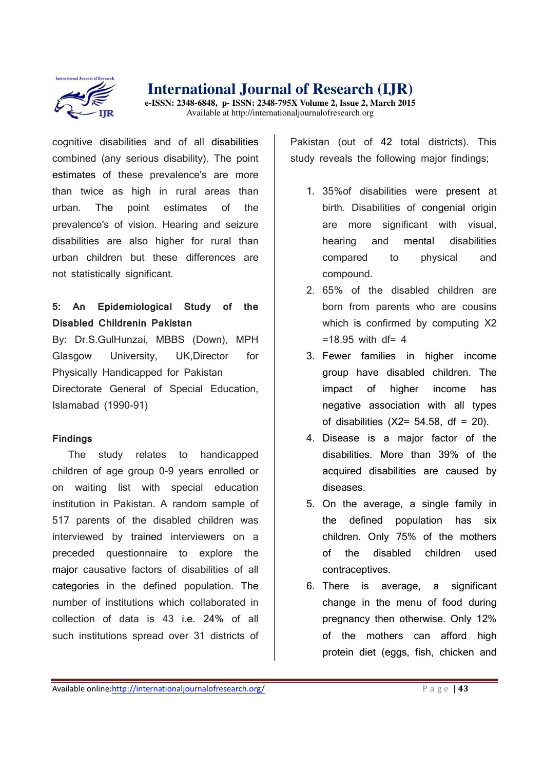

**e-ISSN: 2348-6848, p- ISSN: 2348-795X Volume 2, Issue 2, March 2015**  Available at http://internationaljournalofresearch.org

cognitive disabilities and of all disabilities combined (any serious disability). The point estimates of these prevalence's are more than twice as high in rural areas than urban. The point estimates of the prevalence's of vision. Hearing and seizure disabilities are also higher for rural than urban children but these differences are not statistically significant.

## **5: An Epidemiological Study of the Disabled Childrenin Pakistan**

By: Dr.S.GulHunzai, MBBS (Down), MPH Glasgow University, UK,Director for Physically Handicapped for Pakistan Directorate General of Special Education, Islamabad (1990-91)

#### **Findings**

The study relates to handicapped children of age group 0-9 years enrolled or on waiting list with special education institution in Pakistan. A random sample of 517 parents of the disabled children was interviewed by trained interviewers on a preceded questionnaire to explore the major causative factors of disabilities of all categories in the defined population. The number of institutions which collaborated in collection of data is 43 i.e. 24% of all such institutions spread over 31 districts of

Pakistan (out of 42 total districts). This study reveals the following major findings;

- 1. 35%of disabilities were present at birth. Disabilities of congenial origin are more significant with visual, hearing and mental disabilities compared to physical and compound.
- 2. 65% of the disabled children are born from parents who are cousins which is confirmed by computing X2  $=18.95$  with df= 4
- 3. Fewer families in higher income group have disabled children. The impact of higher income has negative association with all types of disabilities  $(X2= 54.58, df = 20)$ .
- 4. Disease is a major factor of the disabilities. More than 39% of the acquired disabilities are caused by diseases.
- 5. On the average, a single family in the defined population has six children. Only 75% of the mothers of the disabled children used contraceptives.
- 6. There is average, a significant change in the menu of food during pregnancy then otherwise. Only 12% of the mothers can afford high protein diet (eggs, fish, chicken and

Available online:http://internationaljournalofresearch.org/<br>
P a g e | 43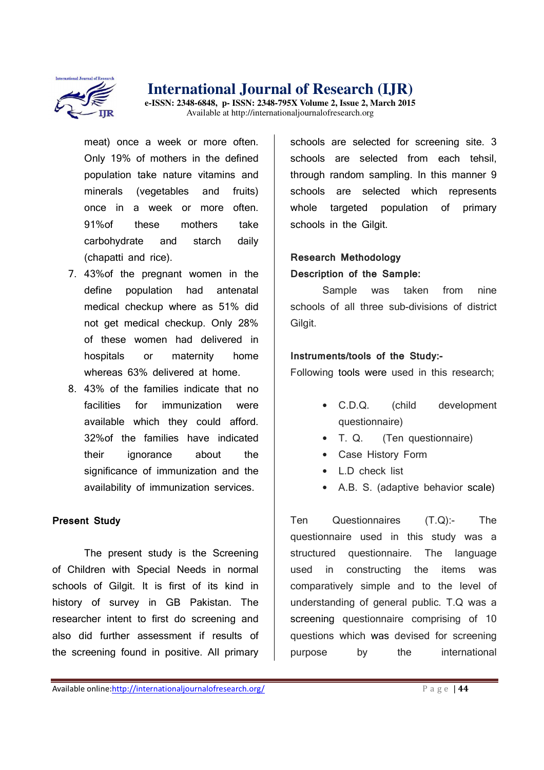

**e-ISSN: 2348-6848, p- ISSN: 2348-795X Volume 2, Issue 2, March 2015**  Available at http://internationaljournalofresearch.org

meat) once a week or more often. Only 19% of mothers in the defined population take nature vitamins and minerals (vegetables and fruits) once in a week or more often. 91%of these mothers take carbohydrate and starch daily (chapatti and rice).

- 7. 43%of the pregnant women in the define population had antenatal medical checkup where as 51% did not get medical checkup. Only 28% of these women had delivered in hospitals or maternity home whereas 63% delivered at home.
- 8. 43% of the families indicate that no facilities for immunization were available which they could afford. 32%of the families have indicated their ignorance about the significance of immunization and the availability of immunization services.

#### **Present Study**

The present study is the Screening of Children with Special Needs in normal schools of Gilgit. It is first of its kind in history of survey in GB Pakistan. The researcher intent to first do screening and also did further assessment if results of the screening found in positive. All primary

schools are selected for screening site. 3 schools are selected from each tehsil, through random sampling. In this manner 9 schools are selected which represents whole targeted population of primary schools in the Gilgit.

## **Research Methodology Description of the Sample:**

Sample was taken from nine schools of all three sub-divisions of district Gilgit.

#### **Instruments/tools of the Study:-**

Following tools were used in this research;

- C.D.Q. (child development questionnaire)
- T. Q. (Ten questionnaire)
- Case History Form
- L.D check list
- A.B. S. (adaptive behavior scale)

Ten Questionnaires (T.Q):- The questionnaire used in this study was a structured questionnaire. The language used in constructing the items was comparatively simple and to the level of understanding of general public. T.Q was a screening questionnaire comprising of 10 questions which was devised for screening purpose by the international

Available online:http://internationaljournalofresearch.org/<br>P a g e | 44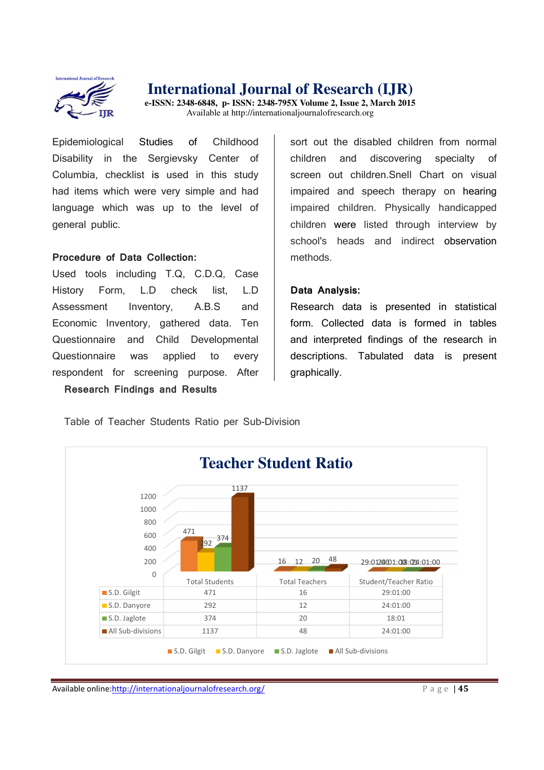

**e-ISSN: 2348-6848, p- ISSN: 2348-795X Volume 2, Issue 2, March 2015**  Available at http://internationaljournalofresearch.org

Epidemiological Studies of Childhood Disability in the Sergievsky Center of Columbia, checklist is used in this study had items which were very simple and had language which was up to the level of general public.

#### **Procedure of Data Collection:**

Used tools including T.Q, C.D.Q, Case History Form, L.D check list, L.D Assessment Inventory, A.B.S and Economic Inventory, gathered data. Ten Questionnaire and Child Developmental Questionnaire was applied to every respondent for screening purpose. After **Research Findings and Results**

sort out the disabled children from normal children and discovering specialty of screen out children.Snell Chart on visual impaired and speech therapy on hearing impaired children. Physically handicapped children were listed through interview by school's heads and indirect observation methods.

#### **Data Analysis:**

Research data is presented in statistical form. Collected data is formed in tables and interpreted findings of the research in descriptions. Tabulated data is present graphically.

Table of Teacher Students Ratio per Sub-Division



Available online:http://internationaljournalofresearch.org/ **Page 145** P a g e 145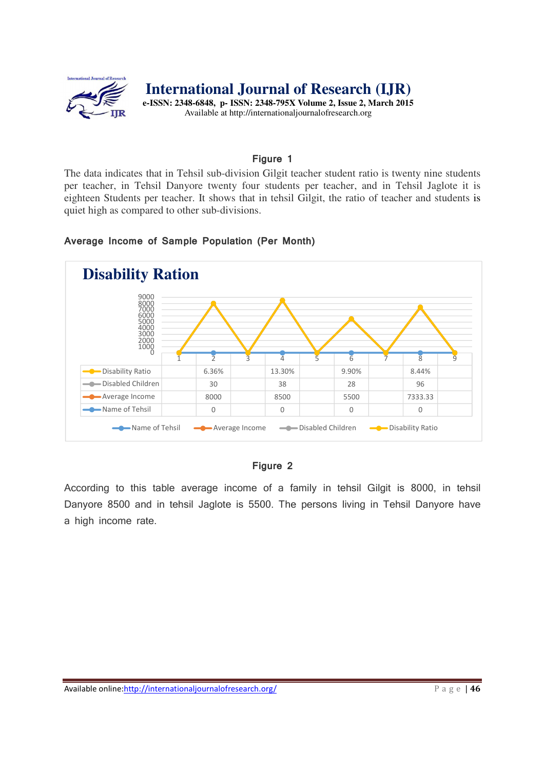

### **Figure 1**

The data indicates that in Tehsil sub-division Gilgit teacher student ratio is twenty nine students per teacher, in Tehsil Danyore twenty four students per teacher, and in Tehsil Jaglote it is eighteen Students per teacher. It shows that in tehsil Gilgit, the ratio of teacher and students is quiet high as compared to other sub-divisions.

#### **Average Income of Sample Population (Per Month)**



#### **Figure 2**

According to this table average income of a family in tehsil Gilgit is 8000, in tehsil Danyore 8500 and in tehsil Jaglote is 5500. The persons living in Tehsil Danyore have a high income rate.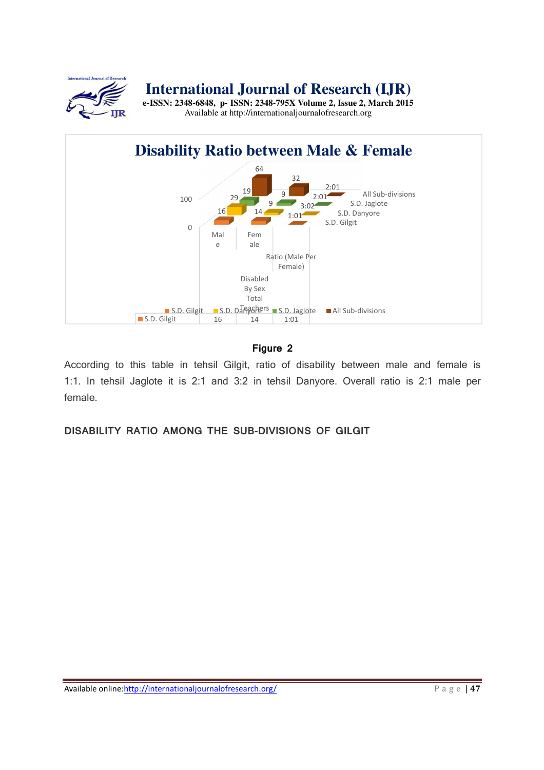

**e-ISSN: 2348-6848, p- ISSN: 2348-795X Volume 2, Issue 2, March 2015**  Available at http://internationaljournalofresearch.org



## **Figure 2**

According to this table in tehsil Gilgit, ratio of disability between male and female is 1:1. In tehsil Jaglote it is 2:1 and 3:2 in tehsil Danyore. Overall ratio is 2:1 male per female.

**DISABILITY RATIO AMONG THE SUB-DIVISIONS OF GILGIT**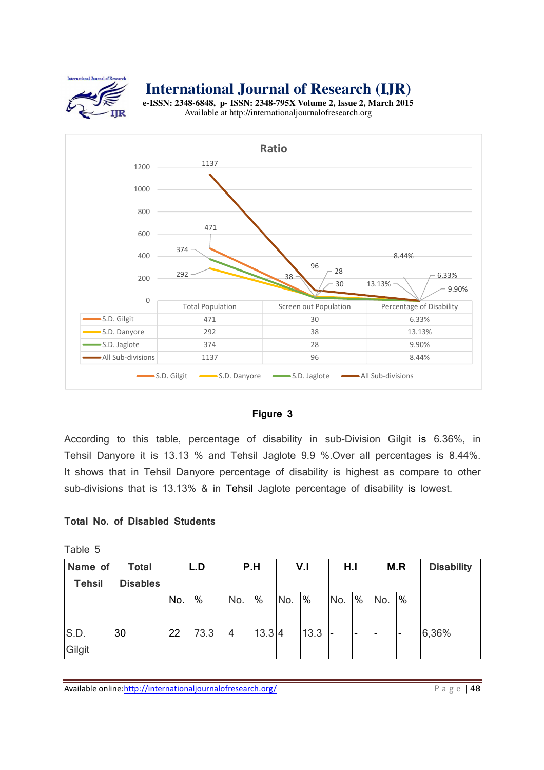

**e-ISSN: 2348-6848, p- ISSN: 2348-795X Volume 2, Issue 2, March 2015**  Available at http://internationaljournalofresearch.org



#### **Figure 3**

According to this table, percentage of disability in sub-Division Gilgit is 6.36%, in Tehsil Danyore it is 13.13 % and Tehsil Jaglote 9.9 %.Over all percentages is 8.44%. It shows that in Tehsil Danyore percentage of disability is highest as compare to other sub-divisions that is 13.13% & in Tehsil Jaglote percentage of disability is lowest.

#### **Total No. of Disabled Students**

Table 5

| Name of        | <b>Total</b>    |     | L.D  | P.H            |               |     | V <sub>1</sub> | H.I          |                          |      | M.R                      | <b>Disability</b> |
|----------------|-----------------|-----|------|----------------|---------------|-----|----------------|--------------|--------------------------|------|--------------------------|-------------------|
| <b>Tehsil</b>  | <b>Disables</b> |     |      |                |               |     |                |              |                          |      |                          |                   |
|                |                 | No. | %    | No.            | $\frac{9}{6}$ | No. | %              | No.          | $\%$                     | INo. | $\frac{9}{6}$            |                   |
| S.D.<br>Gilgit | 30              | 22  | 73.3 | $\overline{4}$ | 13.3 4        |     | 13.3           | $\mathsf{I}$ | $\overline{\phantom{a}}$ | ۔ ا  | $\overline{\phantom{0}}$ | 6,36%             |

Available online:http://internationaljournalofresearch.org/ **Page | 48**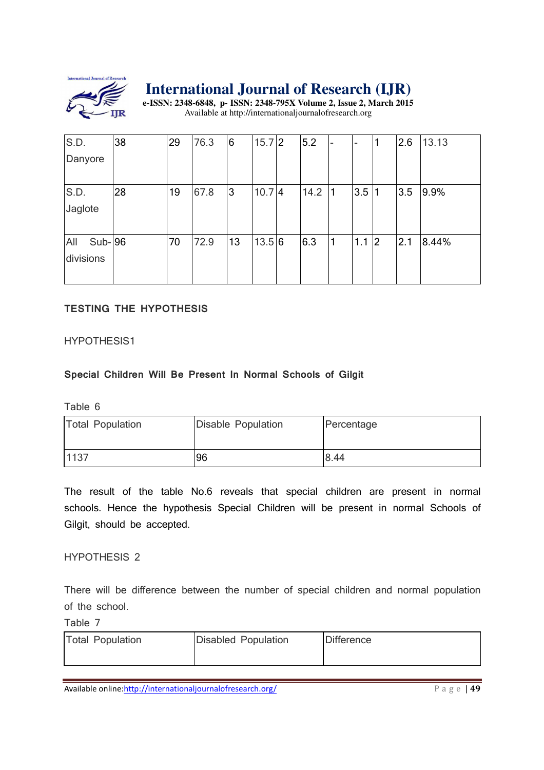

**e-ISSN: 2348-6848, p- ISSN: 2348-795X Volume 2, Issue 2, March 2015**  Available at http://internationaljournalofresearch.org

| S.D.            | 38 | 29 | 76.3 | 6  | $15.7$ 2 | 5.2  | $\overline{\phantom{a}}$ | $\blacksquare$ | 1              | 2.6 | 13.13 |
|-----------------|----|----|------|----|----------|------|--------------------------|----------------|----------------|-----|-------|
| Danyore         |    |    |      |    |          |      |                          |                |                |     |       |
|                 |    |    |      |    |          |      |                          |                |                |     |       |
| S.D.            | 28 | 19 | 67.8 | 3  | 10.74    | 14.2 | 1                        | 3.5            | 1              | 3.5 | 9.9%  |
| Jaglote         |    |    |      |    |          |      |                          |                |                |     |       |
|                 |    |    |      |    |          |      |                          |                |                |     |       |
| All<br>$Sub-96$ |    | 70 | 72.9 | 13 | 13.5 6   | 6.3  | $\mathbf{1}$             | 1.1            | $\overline{2}$ | 2.1 | 8.44% |
| divisions       |    |    |      |    |          |      |                          |                |                |     |       |
|                 |    |    |      |    |          |      |                          |                |                |     |       |

## **TESTING THE HYPOTHESIS**

#### HYPOTHESIS1

#### **Special Children Will Be Present In Normal Schools of Gilgit**

Table 6

| <b>Total Population</b> | Disable Population | Percentage |
|-------------------------|--------------------|------------|
| 1137                    | 96                 | 8.44       |

The result of the table No.6 reveals that special children are present in normal schools. Hence the hypothesis Special Children will be present in normal Schools of Gilgit, should be accepted.

#### HYPOTHESIS 2

There will be difference between the number of special children and normal population of the school.

#### Table 7

| <b>Total Population</b> | Disabled Population | <b>Difference</b> |
|-------------------------|---------------------|-------------------|
|                         |                     |                   |

Available online:http://internationaljournalofresearch.org/ **Page 149**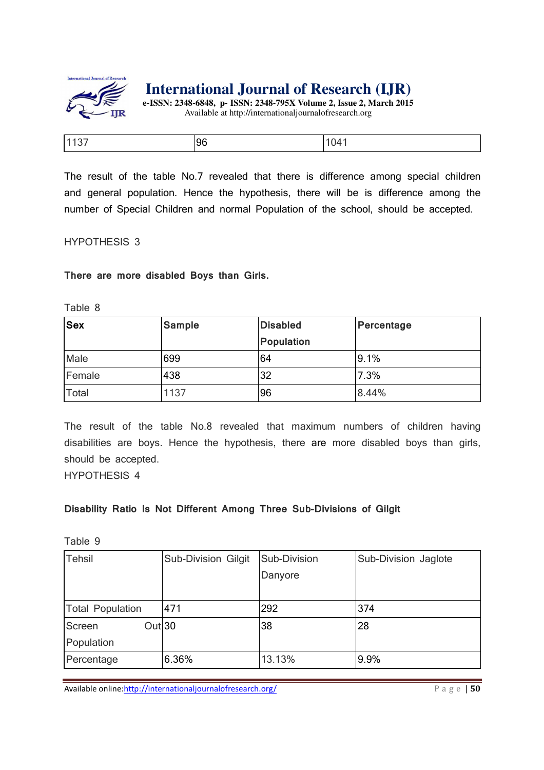

**e-ISSN: 2348-6848, p- ISSN: 2348-795X Volume 2, Issue 2, March 2015**  Available at http://internationaljournalofresearch.org

| . 1<br>. .<br>- - | 4۱) |
|-------------------|-----|

The result of the table No.7 revealed that there is difference among special children and general population. Hence the hypothesis, there will be is difference among the number of Special Children and normal Population of the school, should be accepted.

#### HYPOTHESIS 3

**There are more disabled Boys than Girls.**

Table 8

| <b>Sex</b>   | <b>Sample</b> | <b>Disabled</b>   | Percentage |
|--------------|---------------|-------------------|------------|
|              |               | <b>Population</b> |            |
| Male         | 699           | 64                | 9.1%       |
| Female       | 438           | 32                | 7.3%       |
| <b>Total</b> | 1137          | 96                | 8.44%      |

The result of the table No.8 revealed that maximum numbers of children having disabilities are boys. Hence the hypothesis, there are more disabled boys than girls, should be accepted.

HYPOTHESIS 4

#### **Disability Ratio Is Not Different Among Three Sub-Divisions of Gilgit**

Table 9

| <b>Tehsil</b>               | <b>Sub-Division Gilgit</b> | Sub-Division | Sub-Division Jaglote |
|-----------------------------|----------------------------|--------------|----------------------|
|                             |                            | Danyore      |                      |
|                             |                            |              |                      |
| <b>Total Population</b>     | 471                        | 292          | 374                  |
| Out <sup>30</sup><br>Screen |                            | 38           | 28                   |
| Population                  |                            |              |                      |
| Percentage                  | 6.36%                      | 13.13%       | 9.9%                 |

Available online:http://internationaljournalofresearch.org/ **Page | 50** P a g e | 50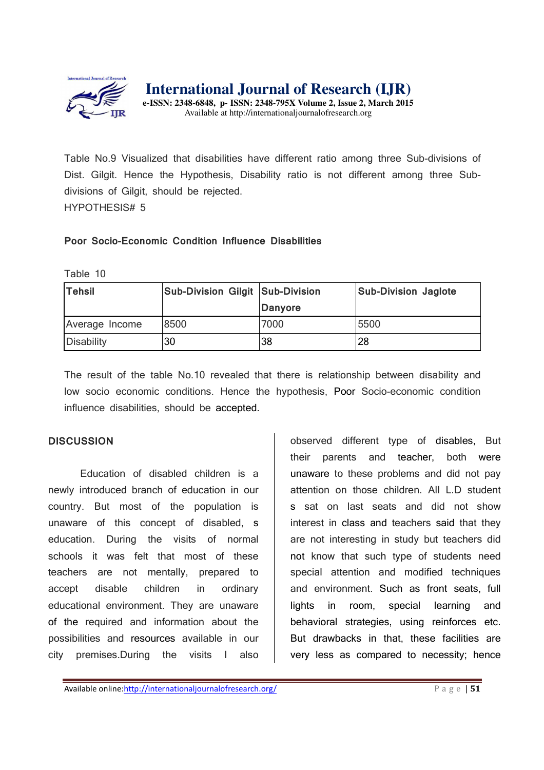

**e-ISSN: 2348-6848, p- ISSN: 2348-795X Volume 2, Issue 2, March 2015**  Available at http://internationaljournalofresearch.org

Table No.9 Visualized that disabilities have different ratio among three Sub-divisions of Dist. Gilgit. Hence the Hypothesis, Disability ratio is not different among three Subdivisions of Gilgit, should be rejected. HYPOTHESIS# 5

#### **Poor Socio-Economic Condition Influence Disabilities**

Table 10

| <b>Tehsil</b>     | Sub-Division Gilgit Sub-Division |         | <b>Sub-Division Jaglote</b> |
|-------------------|----------------------------------|---------|-----------------------------|
|                   |                                  | Danyore |                             |
| Average Income    | 8500                             | 7000    | 5500                        |
| <b>Disability</b> | 30                               | 38      | 28                          |

The result of the table No.10 revealed that there is relationship between disability and low socio economic conditions. Hence the hypothesis, Poor Socio-economic condition influence disabilities, should be accepted.

#### **DISCUSSION**

Education of disabled children is a newly introduced branch of education in our country. But most of the population is unaware of this concept of disabled, s education. During the visits of normal schools it was felt that most of these teachers are not mentally, prepared to accept disable children in ordinary educational environment. They are unaware of the required and information about the possibilities and resources available in our city premises.During the visits I also observed different type of disables, But their parents and teacher, both were unaware to these problems and did not pay attention on those children. All L.D student s sat on last seats and did not show interest in class and teachers said that they are not interesting in study but teachers did not know that such type of students need special attention and modified techniques and environment. Such as front seats, full lights in room, special learning and behavioral strategies, using reinforces etc. But drawbacks in that, these facilities are very less as compared to necessity; hence

Available online:http://internationaljournalofresearch.org/ P a g e | 51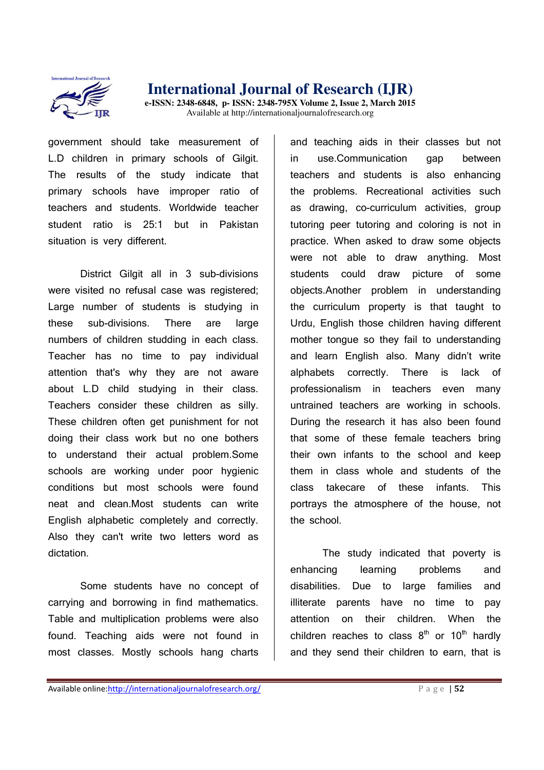

government should take measurement of L.D children in primary schools of Gilgit. The results of the study indicate that primary schools have improper ratio of teachers and students. Worldwide teacher student ratio is 25:1 but in Pakistan situation is very different.

District Gilgit all in 3 sub-divisions were visited no refusal case was registered: Large number of students is studying in these sub-divisions. There are large numbers of children studding in each class. Teacher has no time to pay individual attention that's why they are not aware about L.D child studying in their class. Teachers consider these children as silly. These children often get punishment for not doing their class work but no one bothers to understand their actual problem.Some schools are working under poor hygienic conditions but most schools were found neat and clean.Most students can write English alphabetic completely and correctly. Also they can't write two letters word as dictation.

Some students have no concept of carrying and borrowing in find mathematics. Table and multiplication problems were also found. Teaching aids were not found in most classes. Mostly schools hang charts

and teaching aids in their classes but not in use.Communication gap between teachers and students is also enhancing the problems. Recreational activities such as drawing, co-curriculum activities, group tutoring peer tutoring and coloring is not in practice. When asked to draw some objects were not able to draw anything. Most students could draw picture of some objects.Another problem in understanding the curriculum property is that taught to Urdu, English those children having different mother tongue so they fail to understanding and learn English also. Many didn't write alphabets correctly. There is lack of professionalism in teachers even many untrained teachers are working in schools. During the research it has also been found that some of these female teachers bring their own infants to the school and keep them in class whole and students of the class takecare of these infants. This portrays the atmosphere of the house, not the school.

The study indicated that poverty is enhancing learning problems and disabilities. Due to large families and illiterate parents have no time to pay attention on their children. When the children reaches to class  $8<sup>th</sup>$  or  $10<sup>th</sup>$  hardly and they send their children to earn, that is

Available online:http://internationaljournalofresearch.org/ **Page 152** P a g e 152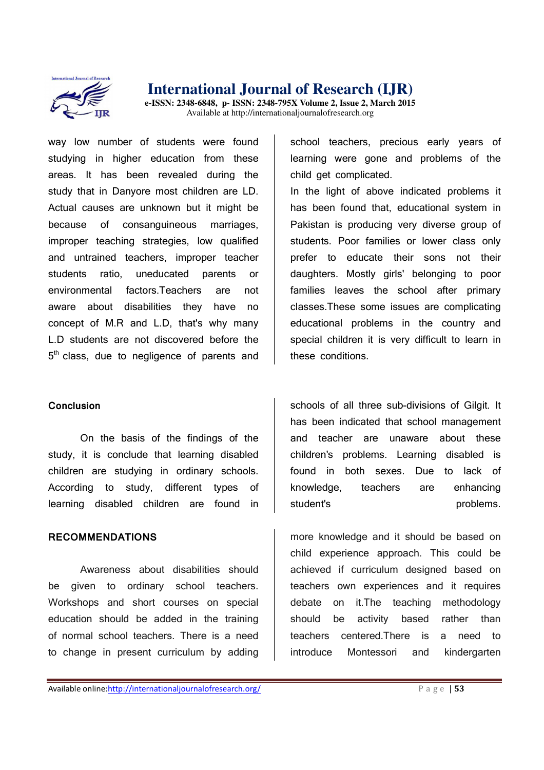

**e-ISSN: 2348-6848, p- ISSN: 2348-795X Volume 2, Issue 2, March 2015**  Available at http://internationaljournalofresearch.org

way low number of students were found studying in higher education from these areas. It has been revealed during the study that in Danyore most children are LD. Actual causes are unknown but it might be because of consanguineous marriages, improper teaching strategies, low qualified and untrained teachers, improper teacher students ratio, uneducated parents or environmental factors.Teachers are not aware about disabilities they have no concept of M.R and L.D, that's why many L.D students are not discovered before the 5<sup>th</sup> class, due to negligence of parents and

#### **Conclusion**

On the basis of the findings of the study, it is conclude that learning disabled children are studying in ordinary schools. According to study, different types of learning disabled children are found in

#### **RECOMMENDATIONS**

Awareness about disabilities should be given to ordinary school teachers. Workshops and short courses on special education should be added in the training of normal school teachers. There is a need to change in present curriculum by adding

school teachers, precious early years of learning were gone and problems of the child get complicated.

In the light of above indicated problems it has been found that, educational system in Pakistan is producing very diverse group of students. Poor families or lower class only prefer to educate their sons not their daughters. Mostly girls' belonging to poor families leaves the school after primary classes.These some issues are complicating educational problems in the country and special children it is very difficult to learn in these conditions.

schools of all three sub-divisions of Gilgit. It has been indicated that school management and teacher are unaware about these children's problems. Learning disabled is found in both sexes. Due to lack of knowledge, teachers are enhancing student's problems.

more knowledge and it should be based on child experience approach. This could be achieved if curriculum designed based on teachers own experiences and it requires debate on it.The teaching methodology should be activity based rather than teachers centered.There is a need to introduce Montessori and kindergarten

Available online:http://internationaljournalofresearch.org/ **P** a g e | **53**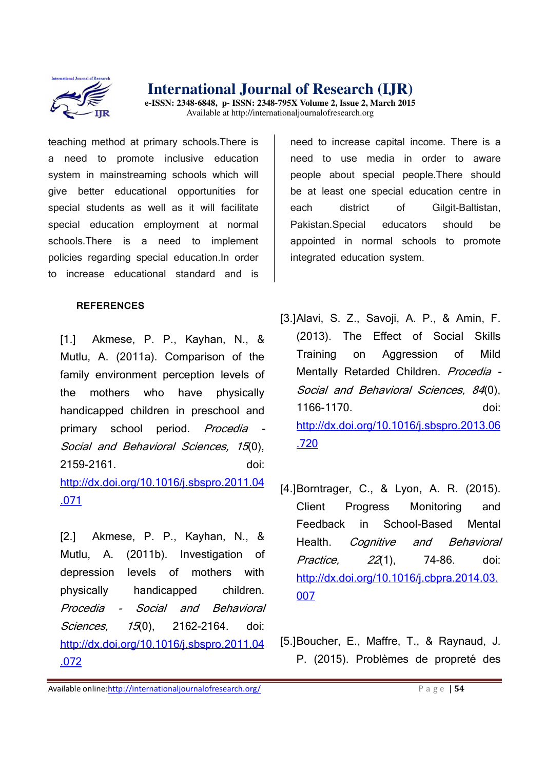

**e-ISSN: 2348-6848, p- ISSN: 2348-795X Volume 2, Issue 2, March 2015**  Available at http://internationaljournalofresearch.org

teaching method at primary schools.There is a need to promote inclusive education system in mainstreaming schools which will give better educational opportunities for special students as well as it will facilitate special education employment at normal schools.There is a need to implement policies regarding special education.In order to increase educational standard and is

#### **REFERENCES**

[1.] Akmese, P. P., Kayhan, N., & Mutlu, A. (2011a). Comparison of the family environment perception levels of the mothers who have physically handicapped children in preschool and primary school period. Procedia -Social and Behavioral Sciences, 15(0), 2159-2161. doi: http://dx.doi.org/10.1016/j.sbspro.2011.04 .071

[2.] Akmese, P. P., Kayhan, N., & Mutlu, A. (2011b). Investigation of depression levels of mothers with physically handicapped children. Procedia - Social and Behavioral Sciences, 15(0), 2162-2164. doi: http://dx.doi.org/10.1016/j.sbspro.2011.04 .072

need to increase capital income. There is a need to use media in order to aware people about special people.There should be at least one special education centre in each district of Gilgit-Baltistan, Pakistan.Special educators should be appointed in normal schools to promote integrated education system.

- [3.]Alavi, S. Z., Savoji, A. P., & Amin, F. (2013). The Effect of Social Skills Training on Aggression of Mild Mentally Retarded Children. Procedia -Social and Behavioral Sciences, 84(0), 1166-1170. doi: http://dx.doi.org/10.1016/j.sbspro.2013.06 .720
- [4.]Borntrager, C., & Lyon, A. R. (2015). Client Progress Monitoring and Feedback in School-Based Mental Health. Cognitive and Behavioral Practice, 22(1), 74-86. doi: http://dx.doi.org/10.1016/j.cbpra.2014.03. 007
- [5.]Boucher, E., Maffre, T., & Raynaud, J. P. (2015). Problèmes de propreté des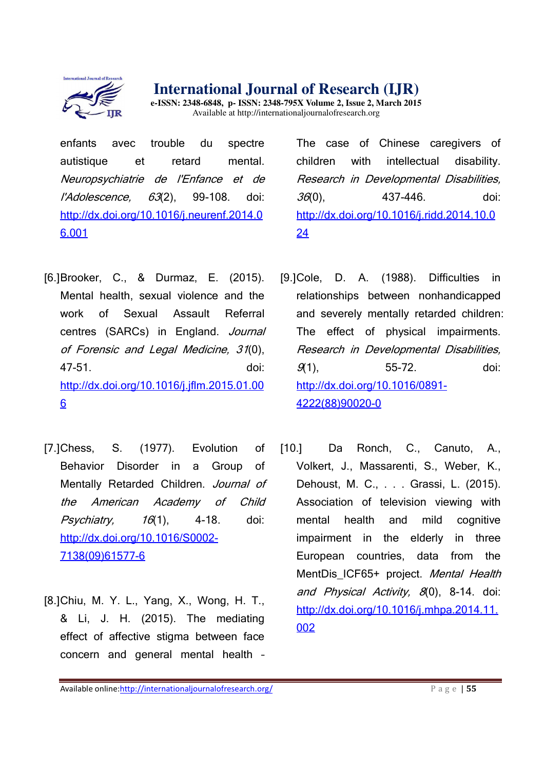

**e-ISSN: 2348-6848, p- ISSN: 2348-795X Volume 2, Issue 2, March 2015**  Available at http://internationaljournalofresearch.org

enfants avec trouble du spectre autistique et retard mental. Neuropsychiatrie de l'Enfance et de l'Adolescence, 63(2), 99-108. doi: http://dx.doi.org/10.1016/j.neurenf.2014.0 6.001

- [6.]Brooker, C., & Durmaz, E. (2015). Mental health, sexual violence and the work of Sexual Assault Referral centres (SARCs) in England. Journal of Forensic and Legal Medicine, 31(0), 47-51. doi: http://dx.doi.org/10.1016/j.jflm.2015.01.00 6
- [7.]Chess, S. (1977). Evolution of Behavior Disorder in a Group of Mentally Retarded Children. Journal of the American Academy of Child  $Psychiatry,$   $16(1),$   $4-18.$  doi: http://dx.doi.org/10.1016/S0002- 7138(09)61577-6
- [8.]Chiu, M. Y. L., Yang, X., Wong, H. T., & Li, J. H. (2015). The mediating effect of affective stigma between face concern and general mental health –

The case of Chinese caregivers of children with intellectual disability. Research in Developmental Disabilities, 36(0), 437-446. doi: http://dx.doi.org/10.1016/j.ridd.2014.10.0 24

- [9.]Cole, D. A. (1988). Difficulties in relationships between nonhandicapped and severely mentally retarded children: The effect of physical impairments. Research in Developmental Disabilities, 9(1), 55-72. doi: http://dx.doi.org/10.1016/0891- 4222(88)90020-0
- [10.] Da Ronch, C., Canuto, A., Volkert, J., Massarenti, S., Weber, K., Dehoust, M. C., . . . Grassi, L. (2015). Association of television viewing with mental health and mild cognitive impairment in the elderly in three European countries, data from the MentDis ICF65+ project. Mental Health and Physical Activity, 8(0), 8-14. doi: http://dx.doi.org/10.1016/j.mhpa.2014.11. 002

Available online:http://internationaljournalofresearch.org/ **P** a g e | 55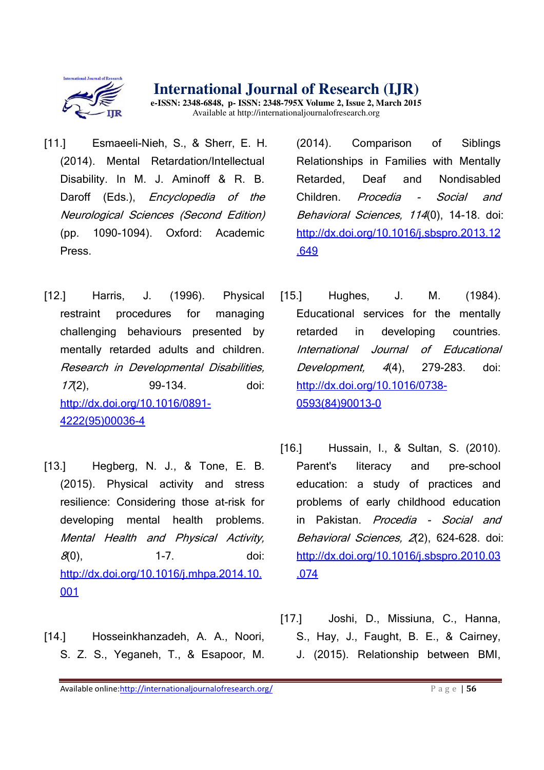

**e-ISSN: 2348-6848, p- ISSN: 2348-795X Volume 2, Issue 2, March 2015**  Available at http://internationaljournalofresearch.org

- [11.] Esmaeeli-Nieh, S., & Sherr, E. H. (2014). Mental Retardation/Intellectual Disability. In M. J. Aminoff & R. B. Daroff (Eds.), *Encyclopedia of the* Neurological Sciences (Second Edition) (pp. 1090-1094). Oxford: Academic Press.
- [12.] Harris, J. (1996). Physical restraint procedures for managing challenging behaviours presented by mentally retarded adults and children. Research in Developmental Disabilities, 17(2), 99-134. doi: http://dx.doi.org/10.1016/0891- 4222(95)00036-4
- [13.] Hegberg, N. J., & Tone, E. B. (2015). Physical activity and stress resilience: Considering those at-risk for developing mental health problems. Mental Health and Physical Activity,  $\mathcal{S}(0),$  1-7. doi: http://dx.doi.org/10.1016/j.mhpa.2014.10. 001
- [14.] Hosseinkhanzadeh, A. A., Noori, S. Z. S., Yeganeh, T., & Esapoor, M.

(2014). Comparison of Siblings Relationships in Families with Mentally Retarded, Deaf and Nondisabled Children. Procedia - Social and Behavioral Sciences, 114(0), 14-18. doi: http://dx.doi.org/10.1016/j.sbspro.2013.12 .649

- [15.] Hughes, J. M. (1984). Educational services for the mentally retarded in developing countries. International Journal of Educational Development, 4(4), 279-283. doi: http://dx.doi.org/10.1016/0738- 0593(84)90013-0
- [16.] Hussain, I., & Sultan, S. (2010). Parent's literacy and pre-school education: a study of practices and problems of early childhood education in Pakistan. Procedia - Social and Behavioral Sciences, 2(2), 624-628. doi: http://dx.doi.org/10.1016/j.sbspro.2010.03 .074
- [17.] Joshi, D., Missiuna, C., Hanna, S., Hay, J., Faught, B. E., & Cairney, J. (2015). Relationship between BMI,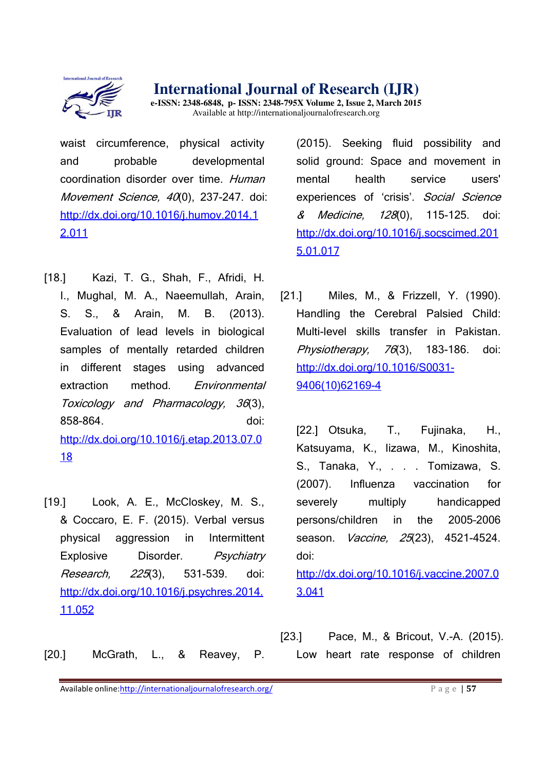

**e-ISSN: 2348-6848, p- ISSN: 2348-795X Volume 2, Issue 2, March 2015**  Available at http://internationaljournalofresearch.org

waist circumference, physical activity and probable developmental coordination disorder over time. Human Movement Science, 40(0), 237-247. doi: http://dx.doi.org/10.1016/j.humov.2014.1 2.011

- [18.] Kazi, T. G., Shah, F., Afridi, H. I., Mughal, M. A., Naeemullah, Arain, S. S., & Arain, M. B. (2013). Evaluation of lead levels in biological samples of mentally retarded children in different stages using advanced extraction method. Environmental Toxicology and Pharmacology, 36(3), 858-864. doi: http://dx.doi.org/10.1016/j.etap.2013.07.0 18
- [19.] Look, A. E., McCloskey, M. S., & Coccaro, E. F. (2015). Verbal versus physical aggression in Intermittent Explosive Disorder. Psychiatry Research, 225(3), 531-539. doi: http://dx.doi.org/10.1016/j.psychres.2014. 11.052

(2015). Seeking fluid possibility and solid ground: Space and movement in mental health service users' experiences of 'crisis'. Social Science & Medicine, 128(0), 115-125. doi: http://dx.doi.org/10.1016/j.socscimed.201 5.01.017

[21.] Miles, M., & Frizzell, Y. (1990). Handling the Cerebral Palsied Child: Multi-level skills transfer in Pakistan. Physiotherapy, 76(3), 183-186, doi: http://dx.doi.org/10.1016/S0031- 9406(10)62169-4

[22.] Otsuka, T., Fujinaka, H., Katsuyama, K., Iizawa, M., Kinoshita, S., Tanaka, Y., . . . Tomizawa, S. (2007). Influenza vaccination for severely multiply handicapped persons/children in the 2005–2006 season. *Vaccine. 25*(23), 4521-4524. doi:

http://dx.doi.org/10.1016/j.vaccine.2007.0 3.041

[20.] McGrath, L., & Reavey, P.

[23.] Pace, M., & Bricout, V.-A. (2015). Low heart rate response of children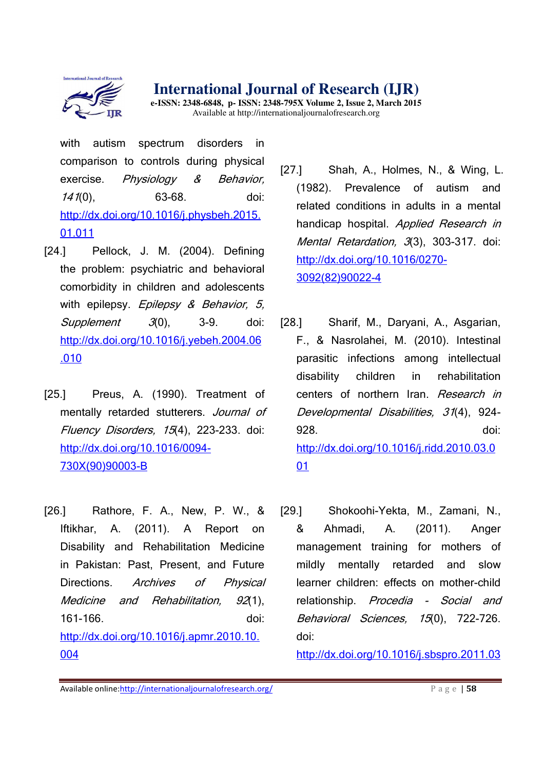

**e-ISSN: 2348-6848, p- ISSN: 2348-795X Volume 2, Issue 2, March 2015**  Available at http://internationaljournalofresearch.org

with autism spectrum disorders in comparison to controls during physical exercise. Physiology & Behavior, 141(0), 63-68. doi: http://dx.doi.org/10.1016/j.physbeh.2015. 01.011

- [24.] Pellock, J. M. (2004). Defining the problem: psychiatric and behavioral comorbidity in children and adolescents with epilepsy. Epilepsy & Behavior, 5, Supplement 3(0), 3-9. doi: http://dx.doi.org/10.1016/j.yebeh.2004.06 .010
- [25.] Preus, A. (1990). Treatment of mentally retarded stutterers. Journal of Fluency Disorders, 15(4), 223-233. doi: http://dx.doi.org/10.1016/0094- 730X(90)90003-B
- [26.] Rathore, F. A., New, P. W., & Iftikhar, A. (2011). A Report on Disability and Rehabilitation Medicine in Pakistan: Past, Present, and Future Directions. Archives of Physical Medicine and Rehabilitation, 92(1), 161-166. doi: http://dx.doi.org/10.1016/j.apmr.2010.10. 004
- [27.] Shah, A., Holmes, N., & Wing, L. (1982). Prevalence of autism and related conditions in adults in a mental handicap hospital. Applied Research in Mental Retardation, 3(3), 303-317. doi: http://dx.doi.org/10.1016/0270- 3092(82)90022-4
- [28.] Sharif, M., Daryani, A., Asgarian, F., & Nasrolahei, M. (2010). Intestinal parasitic infections among intellectual disability children in rehabilitation centers of northern Iran. Research in Developmental Disabilities, 31(4), 924- 928. doi: http://dx.doi.org/10.1016/j.ridd.2010.03.0 01
- [29.] Shokoohi-Yekta, M., Zamani, N., & Ahmadi, A. (2011). Anger management training for mothers of mildly mentally retarded and slow learner children: effects on mother-child relationship. Procedia - Social and Behavioral Sciences, 15(0), 722-726. doi:

http://dx.doi.org/10.1016/j.sbspro.2011.03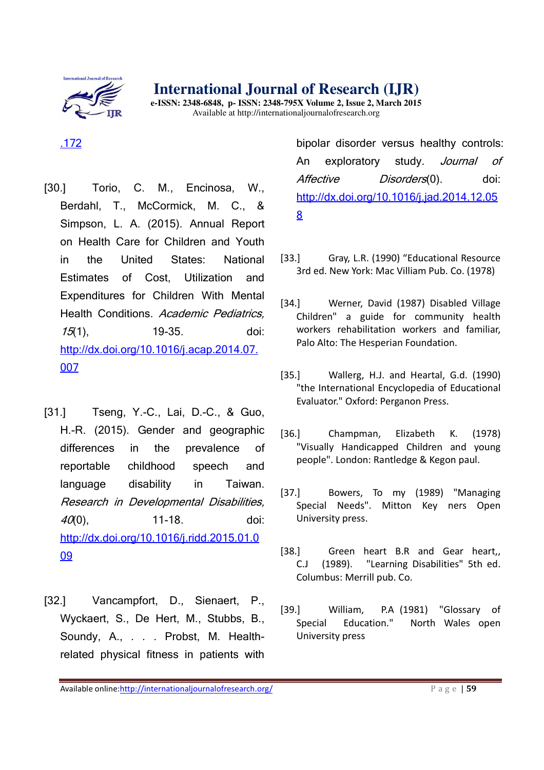

**e-ISSN: 2348-6848, p- ISSN: 2348-795X Volume 2, Issue 2, March 2015**  Available at http://internationaljournalofresearch.org

## .172

- [30.] Torio, C. M., Encinosa, W., Berdahl, T., McCormick, M. C., & Simpson, L. A. (2015). Annual Report on Health Care for Children and Youth in the United States: National Estimates of Cost, Utilization and Expenditures for Children With Mental Health Conditions. Academic Pediatrics, 15(1), 19-35. doi: http://dx.doi.org/10.1016/j.acap.2014.07. 007
- [31.] Tseng, Y.-C., Lai, D.-C., & Guo, H.-R. (2015). Gender and geographic differences in the prevalence of reportable childhood speech and language disability in Taiwan. Research in Developmental Disabilities, 40(0), 11-18. doi: http://dx.doi.org/10.1016/j.ridd.2015.01.0 09
- [32.] Vancampfort, D., Sienaert, P., Wyckaert, S., De Hert, M., Stubbs, B., Soundy, A., . . . Probst, M. Healthrelated physical fitness in patients with

bipolar disorder versus healthy controls: An exploratory study. Journal of Affective Disorders(0). doi: http://dx.doi.org/10.1016/j.jad.2014.12.05 8

- [33.] Gray, L.R. (1990) "Educational Resource 3rd ed. New York: Mac Villiam Pub. Co. (1978)
- [34.] Werner, David (1987) Disabled Village Children" a guide for community health workers rehabilitation workers and familiar, Palo Alto: The Hesperian Foundation.
- [35.] Wallerg, H.J. and Heartal, G.d. (1990) "the International Encyclopedia of Educational Evaluator." Oxford: Perganon Press.
- [36.] Champman, Elizabeth K. (1978) "Visually Handicapped Children and young people". London: Rantledge & Kegon paul.
- [37.] Bowers, To my (1989) "Managing Special Needs". Mitton Key ners Open University press.
- [38.] Green heart B.R and Gear heart, C.J (1989). "Learning Disabilities" 5th ed. Columbus: Merrill pub. Co.
- [39.] William, P.A (1981) "Glossary of Special Education." North Wales open University press

Available online:http://internationaljournalofresearch.org/<br>
P a g e | 59